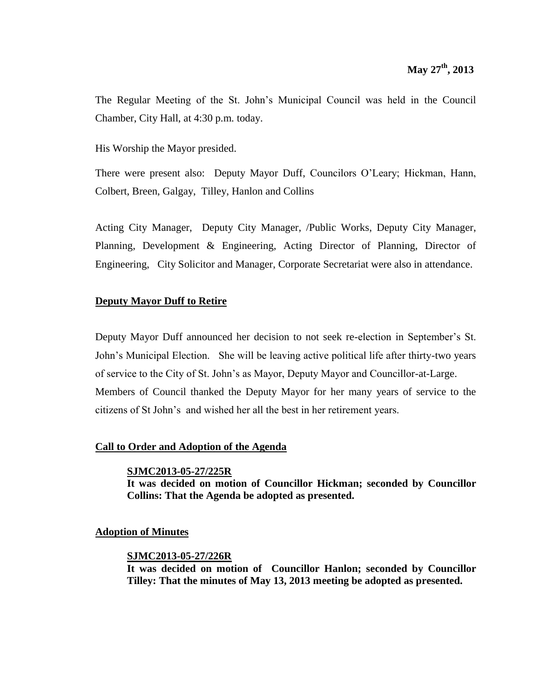The Regular Meeting of the St. John's Municipal Council was held in the Council Chamber, City Hall, at 4:30 p.m. today.

His Worship the Mayor presided.

There were present also: Deputy Mayor Duff, Councilors O'Leary; Hickman, Hann, Colbert, Breen, Galgay, Tilley, Hanlon and Collins

Acting City Manager, Deputy City Manager, /Public Works, Deputy City Manager, Planning, Development & Engineering, Acting Director of Planning, Director of Engineering, City Solicitor and Manager, Corporate Secretariat were also in attendance.

### **Deputy Mayor Duff to Retire**

Deputy Mayor Duff announced her decision to not seek re-election in September's St. John's Municipal Election. She will be leaving active political life after thirty-two years of service to the City of St. John's as Mayor, Deputy Mayor and Councillor-at-Large. Members of Council thanked the Deputy Mayor for her many years of service to the citizens of St John's and wished her all the best in her retirement years.

### **Call to Order and Adoption of the Agenda**

#### **SJMC2013-05-27/225R**

**It was decided on motion of Councillor Hickman; seconded by Councillor Collins: That the Agenda be adopted as presented.**

#### **Adoption of Minutes**

#### **SJMC2013-05-27/226R**

**It was decided on motion of Councillor Hanlon; seconded by Councillor Tilley: That the minutes of May 13, 2013 meeting be adopted as presented.**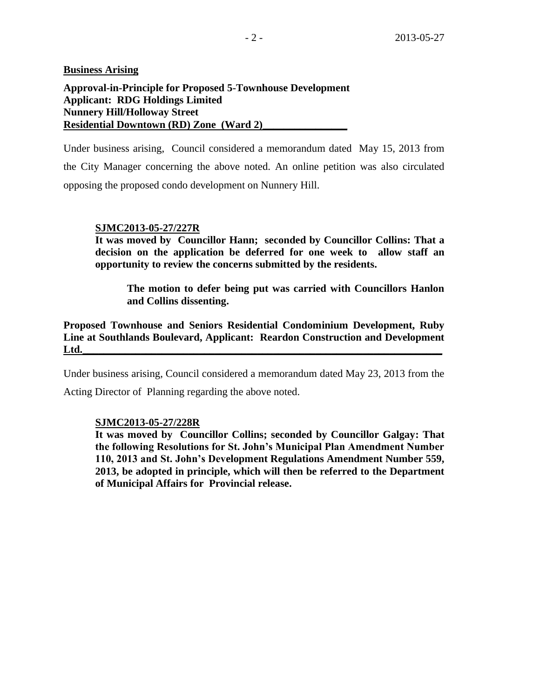**Business Arising**

### **Approval-in-Principle for Proposed 5-Townhouse Development Applicant: RDG Holdings Limited Nunnery Hill/Holloway Street Residential Downtown (RD) Zone (Ward 2)\_\_\_\_\_\_\_\_\_\_\_\_\_\_\_\_**

Under business arising, Council considered a memorandum dated May 15, 2013 from the City Manager concerning the above noted. An online petition was also circulated opposing the proposed condo development on Nunnery Hill.

### **SJMC2013-05-27/227R**

**It was moved by Councillor Hann; seconded by Councillor Collins: That a decision on the application be deferred for one week to allow staff an opportunity to review the concerns submitted by the residents.**

**The motion to defer being put was carried with Councillors Hanlon and Collins dissenting.**

**Proposed Townhouse and Seniors Residential Condominium Development, Ruby Line at Southlands Boulevard, Applicant: Reardon Construction and Development Ltd.\_\_\_\_\_\_\_\_\_\_\_\_\_\_\_\_\_\_\_\_\_\_\_\_\_\_\_\_\_\_\_\_\_\_\_\_\_\_\_\_\_\_\_\_\_\_\_\_\_\_\_\_\_\_\_\_\_\_\_\_\_\_\_\_\_\_\_\_**

Under business arising, Council considered a memorandum dated May 23, 2013 from the

Acting Director of Planning regarding the above noted.

### **SJMC2013-05-27/228R**

**It was moved by Councillor Collins; seconded by Councillor Galgay: That the following Resolutions for St. John's Municipal Plan Amendment Number 110, 2013 and St. John's Development Regulations Amendment Number 559, 2013, be adopted in principle, which will then be referred to the Department of Municipal Affairs for Provincial release.**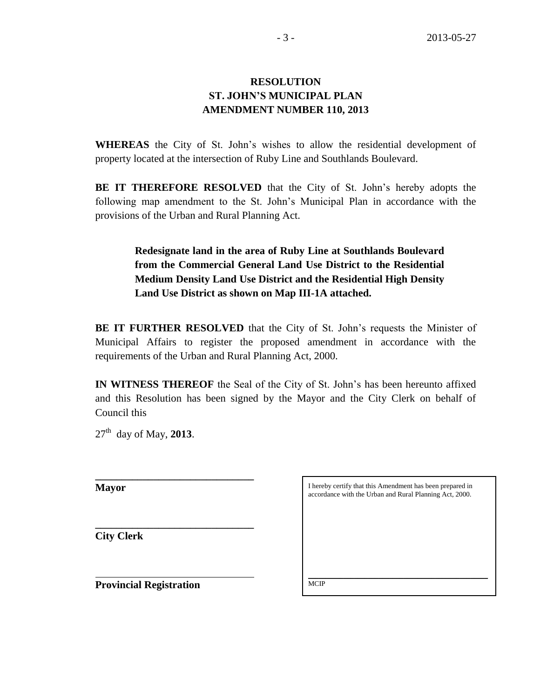# **RESOLUTION ST. JOHN'S MUNICIPAL PLAN AMENDMENT NUMBER 110, 2013**

**WHEREAS** the City of St. John's wishes to allow the residential development of property located at the intersection of Ruby Line and Southlands Boulevard.

**BE IT THEREFORE RESOLVED** that the City of St. John's hereby adopts the following map amendment to the St. John's Municipal Plan in accordance with the provisions of the Urban and Rural Planning Act.

> **Redesignate land in the area of Ruby Line at Southlands Boulevard from the Commercial General Land Use District to the Residential Medium Density Land Use District and the Residential High Density Land Use District as shown on Map III-1A attached.**

**BE IT FURTHER RESOLVED** that the City of St. John's requests the Minister of Municipal Affairs to register the proposed amendment in accordance with the requirements of the Urban and Rural Planning Act, 2000.

**IN WITNESS THEREOF** the Seal of the City of St. John's has been hereunto affixed and this Resolution has been signed by the Mayor and the City Clerk on behalf of Council this

27th day of May, **2013**.

**\_\_\_\_\_\_\_\_\_\_\_\_\_\_\_\_\_\_\_\_\_\_\_\_\_\_\_\_\_\_**

**\_\_\_\_\_\_\_\_\_\_\_\_\_\_\_\_\_\_\_\_\_\_\_\_\_\_\_\_\_\_** 

**Mayor**

**City Clerk**

I hereby certify that this Amendment has been prepared in accordance with the Urban and Rural Planning Act, 2000.

 $\mathcal{L}_\text{max}$  and  $\mathcal{L}_\text{max}$  and  $\mathcal{L}_\text{max}$  and  $\mathcal{L}_\text{max}$  and  $\mathcal{L}_\text{max}$ 

**Provincial Registration**

MCIP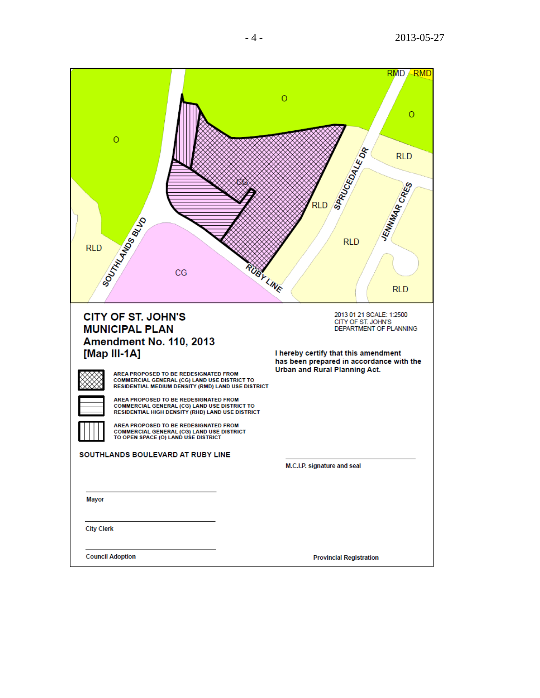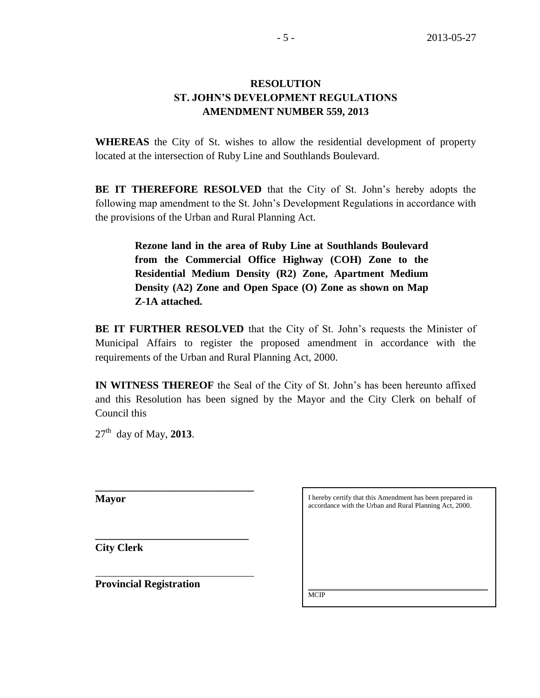# **RESOLUTION ST. JOHN'S DEVELOPMENT REGULATIONS AMENDMENT NUMBER 559, 2013**

**WHEREAS** the City of St. wishes to allow the residential development of property located at the intersection of Ruby Line and Southlands Boulevard.

**BE IT THEREFORE RESOLVED** that the City of St. John's hereby adopts the following map amendment to the St. John's Development Regulations in accordance with the provisions of the Urban and Rural Planning Act.

> **Rezone land in the area of Ruby Line at Southlands Boulevard from the Commercial Office Highway (COH) Zone to the Residential Medium Density (R2) Zone, Apartment Medium Density (A2) Zone and Open Space (O) Zone as shown on Map Z-1A attached.**

**BE IT FURTHER RESOLVED** that the City of St. John's requests the Minister of Municipal Affairs to register the proposed amendment in accordance with the requirements of the Urban and Rural Planning Act, 2000.

**IN WITNESS THEREOF** the Seal of the City of St. John's has been hereunto affixed and this Resolution has been signed by the Mayor and the City Clerk on behalf of Council this

 $27<sup>th</sup>$  day of May, 2013.

**\_\_\_\_\_\_\_\_\_\_\_\_\_\_\_\_\_\_\_\_\_\_\_\_\_\_\_\_\_\_**

**\_\_\_\_\_\_\_\_\_\_\_\_\_\_\_\_\_\_\_\_\_\_\_\_\_\_\_\_\_** 

**Mayor**

**City Clerk**

**Provincial Registration**

I hereby certify that this Amendment has been prepared in accordance with the Urban and Rural Planning Act, 2000.

 $\mathcal{L}_\text{max}$  and  $\mathcal{L}_\text{max}$  and  $\mathcal{L}_\text{max}$  and  $\mathcal{L}_\text{max}$  and  $\mathcal{L}_\text{max}$ 

**MCIP**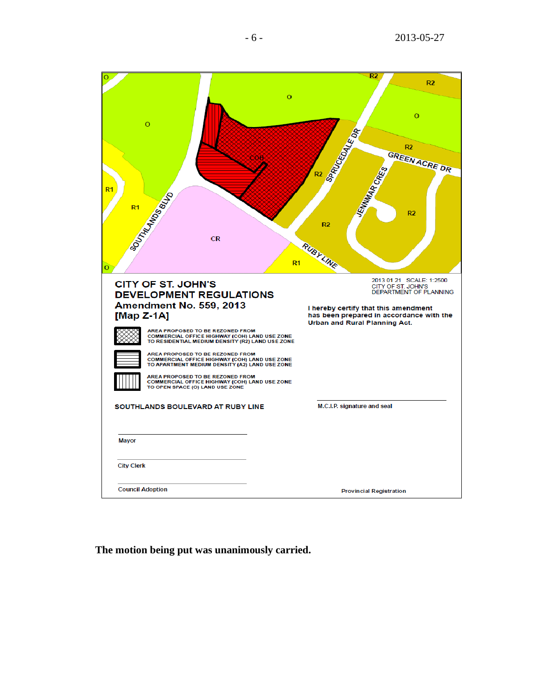| o<br>$\overline{O}$<br>$\circ$<br>R <sub>1</sub><br><b>SOUTHAMES BLVD</b><br><b>CR</b><br>$R1$<br>o                                                                                                                                                                                                                                                                                                                                                                                                             | $\overline{\mathsf{R2}}$<br>R <sub>2</sub><br>$\Omega$<br><b>SRRUCEDALE OR</b><br>R <sub>2</sub><br>GREEN ACRE DR<br>R <sub>2</sub><br>JENNINAAR CRIT<br>R <sub>2</sub><br>R <sub>2</sub><br>RUBYLINE |
|-----------------------------------------------------------------------------------------------------------------------------------------------------------------------------------------------------------------------------------------------------------------------------------------------------------------------------------------------------------------------------------------------------------------------------------------------------------------------------------------------------------------|-------------------------------------------------------------------------------------------------------------------------------------------------------------------------------------------------------|
| <b>CITY OF ST. JOHN'S</b><br><b>DEVELOPMENT REGULATIONS</b><br>Amendment No. 559, 2013<br>[Map $Z-1A$ ]<br>AREA PROPOSED TO BE REZONED FROM<br>COMMERCIAL OFFICE HIGHWAY (COH) LAND USE ZONE<br>TO RESIDENTIAL MEDIUM DENSITY (R2) LAND USE ZONE<br>AREA PROPOSED TO BE REZONED FROM<br>COMMERCIAL OFFICE HIGHWAY (COH) LAND USE ZONE<br>TO APARTMENT MEDIUM DENSITY (A2) LAND USE ZONE<br>AREA PROPOSED TO BE REZONED FROM<br>COMMERCIAL OFFICE HIGHWAY (COH) LAND USE ZONE<br>TO OPEN SPACE (O) LAND USE ZONE | 2013 01 21 SCALE: 1:2500<br>CITY OF ST. JOHN'S<br>DEPARTMENT OF PLANNING<br>I hereby certify that this amendment<br>has been prepared in accordance with the<br>Urban and Rural Planning Act.         |
| SOUTHLANDS BOULEVARD AT RUBY LINE<br><b>Mayor</b>                                                                                                                                                                                                                                                                                                                                                                                                                                                               | M.C.I.P. signature and seal                                                                                                                                                                           |
| <b>City Clerk</b>                                                                                                                                                                                                                                                                                                                                                                                                                                                                                               |                                                                                                                                                                                                       |
| <b>Council Adoption</b>                                                                                                                                                                                                                                                                                                                                                                                                                                                                                         | <b>Provincial Registration</b>                                                                                                                                                                        |

**The motion being put was unanimously carried.**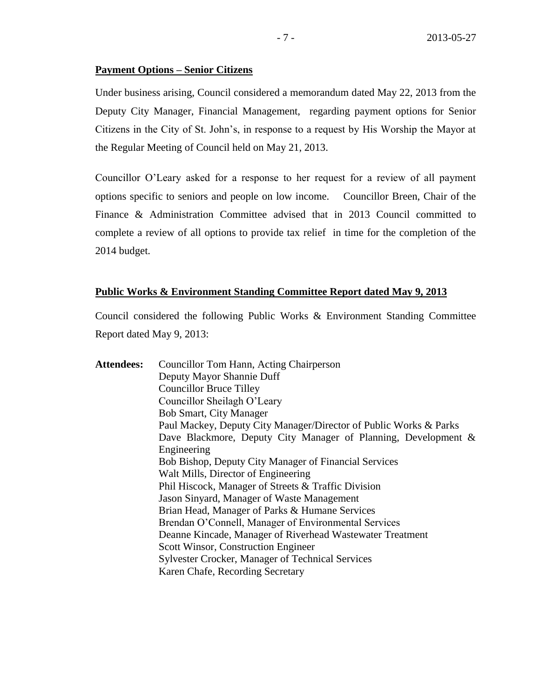#### **Payment Options – Senior Citizens**

Under business arising, Council considered a memorandum dated May 22, 2013 from the Deputy City Manager, Financial Management, regarding payment options for Senior Citizens in the City of St. John's, in response to a request by His Worship the Mayor at the Regular Meeting of Council held on May 21, 2013.

Councillor O'Leary asked for a response to her request for a review of all payment options specific to seniors and people on low income. Councillor Breen, Chair of the Finance & Administration Committee advised that in 2013 Council committed to complete a review of all options to provide tax relief in time for the completion of the 2014 budget.

### **Public Works & Environment Standing Committee Report dated May 9, 2013**

Council considered the following Public Works & Environment Standing Committee Report dated May 9, 2013:

| <b>Attendees:</b> | Councillor Tom Hann, Acting Chairperson                           |
|-------------------|-------------------------------------------------------------------|
|                   | Deputy Mayor Shannie Duff                                         |
|                   | <b>Councillor Bruce Tilley</b>                                    |
|                   | Councillor Sheilagh O'Leary                                       |
|                   | <b>Bob Smart, City Manager</b>                                    |
|                   | Paul Mackey, Deputy City Manager/Director of Public Works & Parks |
|                   | Dave Blackmore, Deputy City Manager of Planning, Development &    |
|                   | Engineering                                                       |
|                   | <b>Bob Bishop, Deputy City Manager of Financial Services</b>      |
|                   | Walt Mills, Director of Engineering                               |
|                   | Phil Hiscock, Manager of Streets & Traffic Division               |
|                   | Jason Sinyard, Manager of Waste Management                        |
|                   | Brian Head, Manager of Parks & Humane Services                    |
|                   | Brendan O'Connell, Manager of Environmental Services              |
|                   | Deanne Kincade, Manager of Riverhead Wastewater Treatment         |
|                   | Scott Winsor, Construction Engineer                               |
|                   | <b>Sylvester Crocker, Manager of Technical Services</b>           |
|                   | Karen Chafe, Recording Secretary                                  |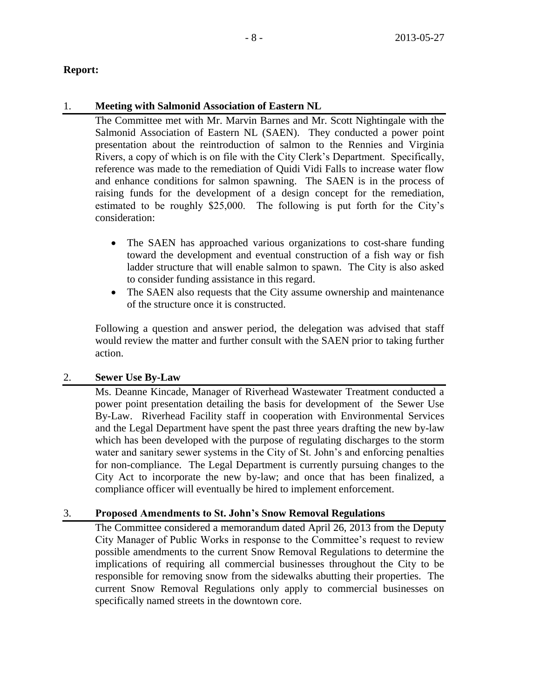### **Report:**

### 1. **Meeting with Salmonid Association of Eastern NL**

The Committee met with Mr. Marvin Barnes and Mr. Scott Nightingale with the Salmonid Association of Eastern NL (SAEN). They conducted a power point presentation about the reintroduction of salmon to the Rennies and Virginia Rivers, a copy of which is on file with the City Clerk's Department. Specifically, reference was made to the remediation of Quidi Vidi Falls to increase water flow and enhance conditions for salmon spawning. The SAEN is in the process of raising funds for the development of a design concept for the remediation, estimated to be roughly \$25,000. The following is put forth for the City's consideration:

- The SAEN has approached various organizations to cost-share funding toward the development and eventual construction of a fish way or fish ladder structure that will enable salmon to spawn. The City is also asked to consider funding assistance in this regard.
- The SAEN also requests that the City assume ownership and maintenance of the structure once it is constructed.

Following a question and answer period, the delegation was advised that staff would review the matter and further consult with the SAEN prior to taking further action.

### 2. **Sewer Use By-Law**

Ms. Deanne Kincade, Manager of Riverhead Wastewater Treatment conducted a power point presentation detailing the basis for development of the Sewer Use By-Law. Riverhead Facility staff in cooperation with Environmental Services and the Legal Department have spent the past three years drafting the new by-law which has been developed with the purpose of regulating discharges to the storm water and sanitary sewer systems in the City of St. John's and enforcing penalties for non-compliance. The Legal Department is currently pursuing changes to the City Act to incorporate the new by-law; and once that has been finalized, a compliance officer will eventually be hired to implement enforcement.

### 3. **Proposed Amendments to St. John's Snow Removal Regulations**

The Committee considered a memorandum dated April 26, 2013 from the Deputy City Manager of Public Works in response to the Committee's request to review possible amendments to the current Snow Removal Regulations to determine the implications of requiring all commercial businesses throughout the City to be responsible for removing snow from the sidewalks abutting their properties. The current Snow Removal Regulations only apply to commercial businesses on specifically named streets in the downtown core.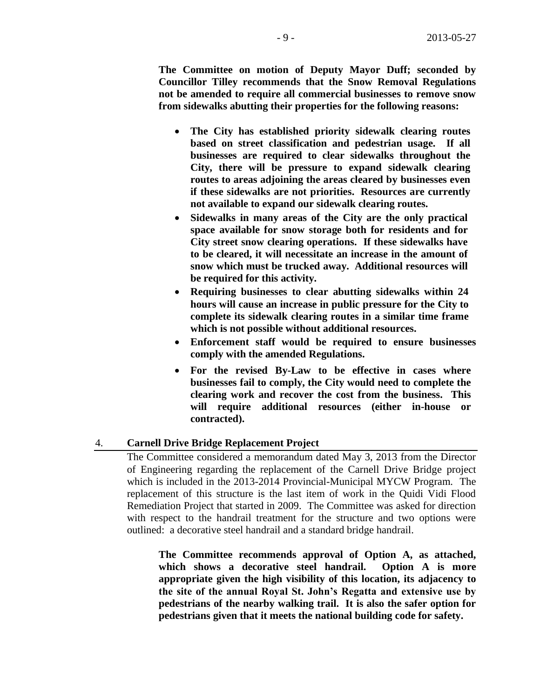**The Committee on motion of Deputy Mayor Duff; seconded by Councillor Tilley recommends that the Snow Removal Regulations not be amended to require all commercial businesses to remove snow from sidewalks abutting their properties for the following reasons:**

- **The City has established priority sidewalk clearing routes based on street classification and pedestrian usage. If all businesses are required to clear sidewalks throughout the City, there will be pressure to expand sidewalk clearing routes to areas adjoining the areas cleared by businesses even if these sidewalks are not priorities. Resources are currently not available to expand our sidewalk clearing routes.**
- **Sidewalks in many areas of the City are the only practical space available for snow storage both for residents and for City street snow clearing operations. If these sidewalks have to be cleared, it will necessitate an increase in the amount of snow which must be trucked away. Additional resources will be required for this activity.**
- **Requiring businesses to clear abutting sidewalks within 24 hours will cause an increase in public pressure for the City to complete its sidewalk clearing routes in a similar time frame which is not possible without additional resources.**
- **Enforcement staff would be required to ensure businesses comply with the amended Regulations.**
- **For the revised By-Law to be effective in cases where businesses fail to comply, the City would need to complete the clearing work and recover the cost from the business. This will require additional resources (either in-house or contracted).**

#### 4. **Carnell Drive Bridge Replacement Project**

The Committee considered a memorandum dated May 3, 2013 from the Director of Engineering regarding the replacement of the Carnell Drive Bridge project which is included in the 2013-2014 Provincial-Municipal MYCW Program. The replacement of this structure is the last item of work in the Quidi Vidi Flood Remediation Project that started in 2009. The Committee was asked for direction with respect to the handrail treatment for the structure and two options were outlined: a decorative steel handrail and a standard bridge handrail.

**The Committee recommends approval of Option A, as attached, which shows a decorative steel handrail. Option A is more appropriate given the high visibility of this location, its adjacency to the site of the annual Royal St. John's Regatta and extensive use by pedestrians of the nearby walking trail. It is also the safer option for pedestrians given that it meets the national building code for safety.**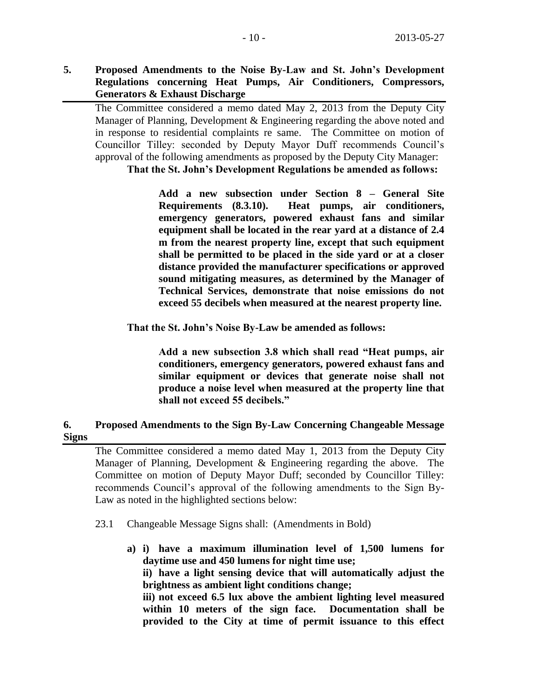**5. Proposed Amendments to the Noise By-Law and St. John's Development Regulations concerning Heat Pumps, Air Conditioners, Compressors, Generators & Exhaust Discharge** 

The Committee considered a memo dated May 2, 2013 from the Deputy City Manager of Planning, Development & Engineering regarding the above noted and in response to residential complaints re same. The Committee on motion of Councillor Tilley: seconded by Deputy Mayor Duff recommends Council's approval of the following amendments as proposed by the Deputy City Manager:

**That the St. John's Development Regulations be amended as follows:**

**Add a new subsection under Section 8 – General Site Requirements (8.3.10). Heat pumps, air conditioners, emergency generators, powered exhaust fans and similar equipment shall be located in the rear yard at a distance of 2.4 m from the nearest property line, except that such equipment shall be permitted to be placed in the side yard or at a closer distance provided the manufacturer specifications or approved sound mitigating measures, as determined by the Manager of Technical Services, demonstrate that noise emissions do not exceed 55 decibels when measured at the nearest property line.**

**That the St. John's Noise By-Law be amended as follows:**

**Add a new subsection 3.8 which shall read "Heat pumps, air conditioners, emergency generators, powered exhaust fans and similar equipment or devices that generate noise shall not produce a noise level when measured at the property line that shall not exceed 55 decibels."**

### **6. Proposed Amendments to the Sign By-Law Concerning Changeable Message Signs**

The Committee considered a memo dated May 1, 2013 from the Deputy City Manager of Planning, Development & Engineering regarding the above. The Committee on motion of Deputy Mayor Duff; seconded by Councillor Tilley: recommends Council's approval of the following amendments to the Sign By-Law as noted in the highlighted sections below:

- 23.1 Changeable Message Signs shall: (Amendments in Bold)
	- **a) i) have a maximum illumination level of 1,500 lumens for daytime use and 450 lumens for night time use;**

**ii) have a light sensing device that will automatically adjust the brightness as ambient light conditions change;**

**iii) not exceed 6.5 lux above the ambient lighting level measured within 10 meters of the sign face. Documentation shall be provided to the City at time of permit issuance to this effect**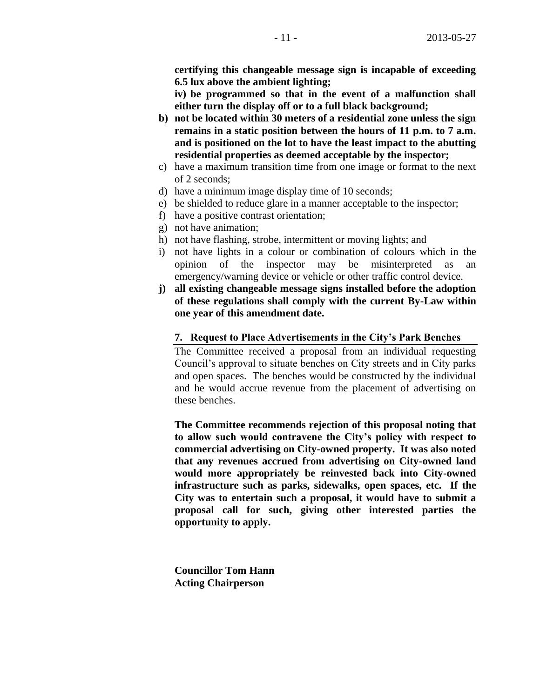**certifying this changeable message sign is incapable of exceeding 6.5 lux above the ambient lighting;**

**iv) be programmed so that in the event of a malfunction shall either turn the display off or to a full black background;**

- **b) not be located within 30 meters of a residential zone unless the sign remains in a static position between the hours of 11 p.m. to 7 a.m. and is positioned on the lot to have the least impact to the abutting residential properties as deemed acceptable by the inspector;**
- c) have a maximum transition time from one image or format to the next of 2 seconds;
- d) have a minimum image display time of 10 seconds;
- e) be shielded to reduce glare in a manner acceptable to the inspector;
- f) have a positive contrast orientation;
- g) not have animation;
- h) not have flashing, strobe, intermittent or moving lights; and
- i) not have lights in a colour or combination of colours which in the opinion of the inspector may be misinterpreted as an emergency/warning device or vehicle or other traffic control device.
- **j) all existing changeable message signs installed before the adoption of these regulations shall comply with the current By-Law within one year of this amendment date.**

#### **7. Request to Place Advertisements in the City's Park Benches**

The Committee received a proposal from an individual requesting Council's approval to situate benches on City streets and in City parks and open spaces. The benches would be constructed by the individual and he would accrue revenue from the placement of advertising on these benches.

**The Committee recommends rejection of this proposal noting that to allow such would contravene the City's policy with respect to commercial advertising on City-owned property. It was also noted that any revenues accrued from advertising on City-owned land would more appropriately be reinvested back into City-owned infrastructure such as parks, sidewalks, open spaces, etc. If the City was to entertain such a proposal, it would have to submit a proposal call for such, giving other interested parties the opportunity to apply.**

**Councillor Tom Hann Acting Chairperson**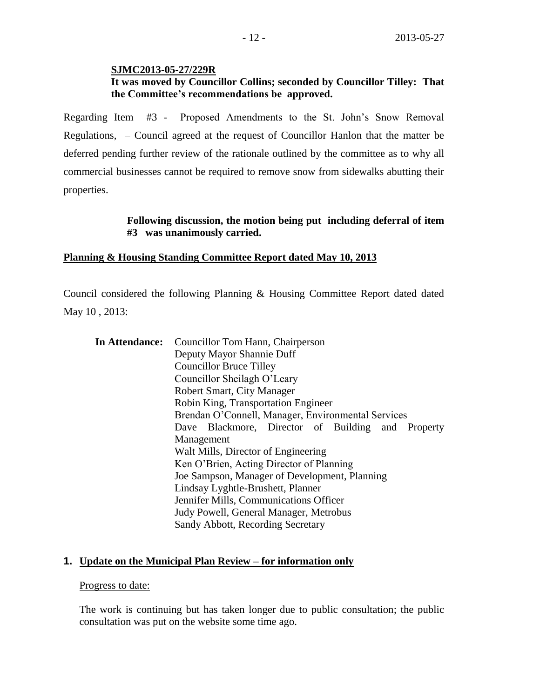#### **SJMC2013-05-27/229R**

### **It was moved by Councillor Collins; seconded by Councillor Tilley: That the Committee's recommendations be approved.**

Regarding Item #3 - Proposed Amendments to the St. John's Snow Removal Regulations, – Council agreed at the request of Councillor Hanlon that the matter be deferred pending further review of the rationale outlined by the committee as to why all commercial businesses cannot be required to remove snow from sidewalks abutting their properties.

### **Following discussion, the motion being put including deferral of item #3 was unanimously carried.**

### **Planning & Housing Standing Committee Report dated May 10, 2013**

Council considered the following Planning & Housing Committee Report dated dated May 10 , 2013:

| <b>In Attendance:</b> Councillor Tom Hann, Chairperson |  |  |
|--------------------------------------------------------|--|--|
| Deputy Mayor Shannie Duff                              |  |  |
| <b>Councillor Bruce Tilley</b>                         |  |  |
| Councillor Sheilagh O'Leary                            |  |  |
| Robert Smart, City Manager                             |  |  |
| Robin King, Transportation Engineer                    |  |  |
| Brendan O'Connell, Manager, Environmental Services     |  |  |
| Dave Blackmore, Director of Building and Property      |  |  |
| Management                                             |  |  |
| Walt Mills, Director of Engineering                    |  |  |
| Ken O'Brien, Acting Director of Planning               |  |  |
| Joe Sampson, Manager of Development, Planning          |  |  |
| Lindsay Lyghtle-Brushett, Planner                      |  |  |
| Jennifer Mills, Communications Officer                 |  |  |
| Judy Powell, General Manager, Metrobus                 |  |  |
| Sandy Abbott, Recording Secretary                      |  |  |

### **1. Update on the Municipal Plan Review – for information only**

#### Progress to date:

The work is continuing but has taken longer due to public consultation; the public consultation was put on the website some time ago.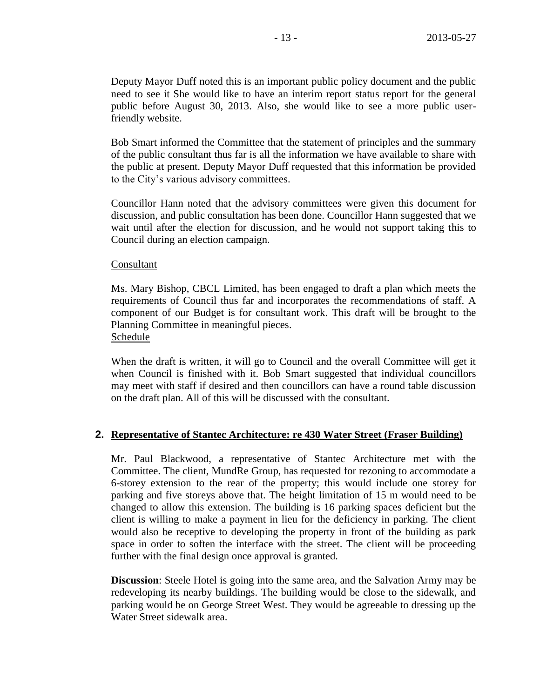Deputy Mayor Duff noted this is an important public policy document and the public need to see it She would like to have an interim report status report for the general public before August 30, 2013. Also, she would like to see a more public userfriendly website.

Bob Smart informed the Committee that the statement of principles and the summary of the public consultant thus far is all the information we have available to share with the public at present. Deputy Mayor Duff requested that this information be provided to the City's various advisory committees.

Councillor Hann noted that the advisory committees were given this document for discussion, and public consultation has been done. Councillor Hann suggested that we wait until after the election for discussion, and he would not support taking this to Council during an election campaign.

#### Consultant

Ms. Mary Bishop, CBCL Limited, has been engaged to draft a plan which meets the requirements of Council thus far and incorporates the recommendations of staff. A component of our Budget is for consultant work. This draft will be brought to the Planning Committee in meaningful pieces. Schedule

When the draft is written, it will go to Council and the overall Committee will get it when Council is finished with it. Bob Smart suggested that individual councillors may meet with staff if desired and then councillors can have a round table discussion on the draft plan. All of this will be discussed with the consultant.

### **2. Representative of Stantec Architecture: re 430 Water Street (Fraser Building)**

Mr. Paul Blackwood, a representative of Stantec Architecture met with the Committee. The client, MundRe Group, has requested for rezoning to accommodate a 6-storey extension to the rear of the property; this would include one storey for parking and five storeys above that. The height limitation of 15 m would need to be changed to allow this extension. The building is 16 parking spaces deficient but the client is willing to make a payment in lieu for the deficiency in parking. The client would also be receptive to developing the property in front of the building as park space in order to soften the interface with the street. The client will be proceeding further with the final design once approval is granted.

**Discussion**: Steele Hotel is going into the same area, and the Salvation Army may be redeveloping its nearby buildings. The building would be close to the sidewalk, and parking would be on George Street West. They would be agreeable to dressing up the Water Street sidewalk area.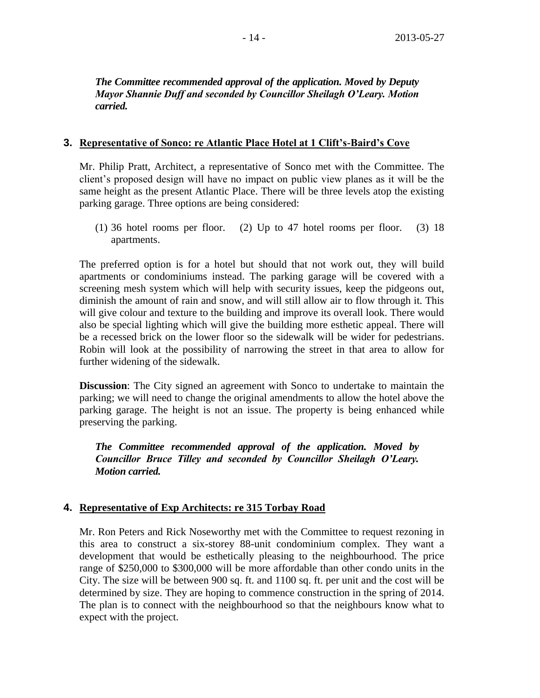*The Committee recommended approval of the application. Moved by Deputy Mayor Shannie Duff and seconded by Councillor Sheilagh O'Leary. Motion carried.*

### **3. Representative of Sonco: re Atlantic Place Hotel at 1 Clift's-Baird's Cove**

Mr. Philip Pratt, Architect, a representative of Sonco met with the Committee. The client's proposed design will have no impact on public view planes as it will be the same height as the present Atlantic Place. There will be three levels atop the existing parking garage. Three options are being considered:

(1) 36 hotel rooms per floor. (2) Up to 47 hotel rooms per floor. (3) 18 apartments.

The preferred option is for a hotel but should that not work out, they will build apartments or condominiums instead. The parking garage will be covered with a screening mesh system which will help with security issues, keep the pidgeons out, diminish the amount of rain and snow, and will still allow air to flow through it. This will give colour and texture to the building and improve its overall look. There would also be special lighting which will give the building more esthetic appeal. There will be a recessed brick on the lower floor so the sidewalk will be wider for pedestrians. Robin will look at the possibility of narrowing the street in that area to allow for further widening of the sidewalk.

**Discussion**: The City signed an agreement with Sonco to undertake to maintain the parking; we will need to change the original amendments to allow the hotel above the parking garage. The height is not an issue. The property is being enhanced while preserving the parking.

*The Committee recommended approval of the application. Moved by Councillor Bruce Tilley and seconded by Councillor Sheilagh O'Leary. Motion carried.*

### **4. Representative of Exp Architects: re 315 Torbay Road**

Mr. Ron Peters and Rick Noseworthy met with the Committee to request rezoning in this area to construct a six-storey 88-unit condominium complex. They want a development that would be esthetically pleasing to the neighbourhood. The price range of \$250,000 to \$300,000 will be more affordable than other condo units in the City. The size will be between 900 sq. ft. and 1100 sq. ft. per unit and the cost will be determined by size. They are hoping to commence construction in the spring of 2014. The plan is to connect with the neighbourhood so that the neighbours know what to expect with the project.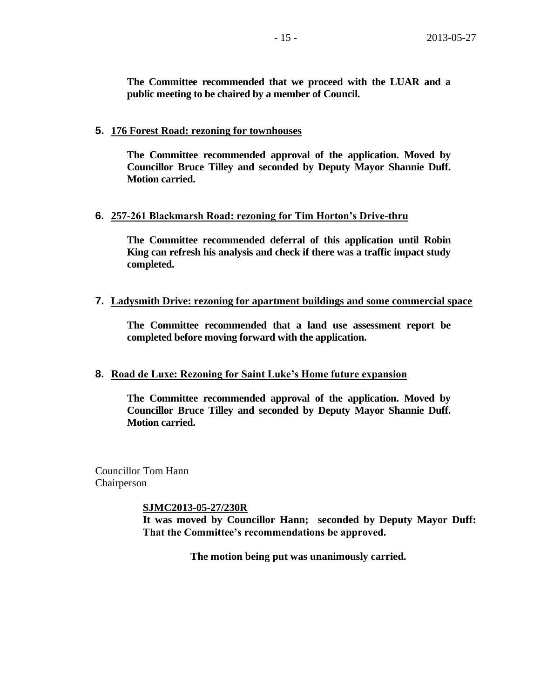**The Committee recommended that we proceed with the LUAR and a public meeting to be chaired by a member of Council.** 

### **5. 176 Forest Road: rezoning for townhouses**

**The Committee recommended approval of the application. Moved by Councillor Bruce Tilley and seconded by Deputy Mayor Shannie Duff. Motion carried.**

### **6. 257-261 Blackmarsh Road: rezoning for Tim Horton's Drive-thru**

**The Committee recommended deferral of this application until Robin King can refresh his analysis and check if there was a traffic impact study completed.**

### **7. Ladysmith Drive: rezoning for apartment buildings and some commercial space**

**The Committee recommended that a land use assessment report be completed before moving forward with the application.**

### **8. Road de Luxe: Rezoning for Saint Luke's Home future expansion**

**The Committee recommended approval of the application. Moved by Councillor Bruce Tilley and seconded by Deputy Mayor Shannie Duff. Motion carried.**

Councillor Tom Hann Chairperson

**SJMC2013-05-27/230R**

**It was moved by Councillor Hann; seconded by Deputy Mayor Duff: That the Committee's recommendations be approved.**

**The motion being put was unanimously carried.**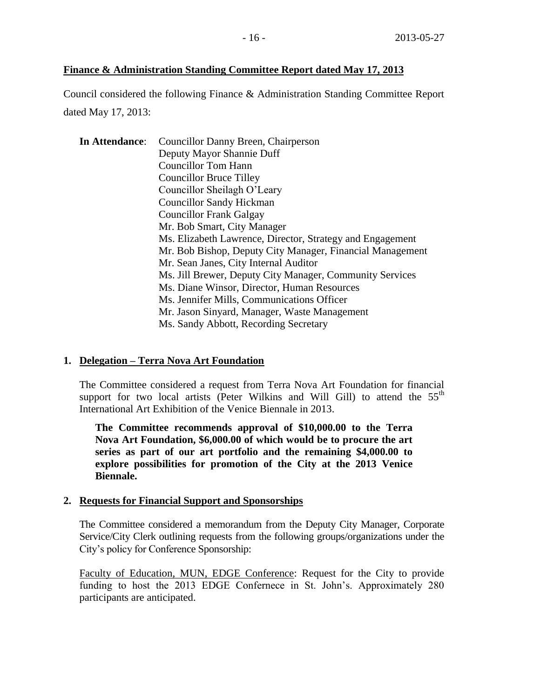### **Finance & Administration Standing Committee Report dated May 17, 2013**

Council considered the following Finance & Administration Standing Committee Report dated May 17, 2013:

| In Attendance: | Councillor Danny Breen, Chairperson                       |
|----------------|-----------------------------------------------------------|
|                | Deputy Mayor Shannie Duff                                 |
|                | <b>Councillor Tom Hann</b>                                |
|                | <b>Councillor Bruce Tilley</b>                            |
|                | Councillor Sheilagh O'Leary                               |
|                | <b>Councillor Sandy Hickman</b>                           |
|                | <b>Councillor Frank Galgay</b>                            |
|                | Mr. Bob Smart, City Manager                               |
|                | Ms. Elizabeth Lawrence, Director, Strategy and Engagement |
|                | Mr. Bob Bishop, Deputy City Manager, Financial Management |
|                | Mr. Sean Janes, City Internal Auditor                     |
|                | Ms. Jill Brewer, Deputy City Manager, Community Services  |
|                | Ms. Diane Winsor, Director, Human Resources               |
|                | Ms. Jennifer Mills, Communications Officer                |
|                | Mr. Jason Sinyard, Manager, Waste Management              |
|                | Ms. Sandy Abbott, Recording Secretary                     |

### **1. Delegation – Terra Nova Art Foundation**

The Committee considered a request from Terra Nova Art Foundation for financial support for two local artists (Peter Wilkins and Will Gill) to attend the  $55<sup>th</sup>$ International Art Exhibition of the Venice Biennale in 2013.

**The Committee recommends approval of \$10,000.00 to the Terra Nova Art Foundation, \$6,000.00 of which would be to procure the art series as part of our art portfolio and the remaining \$4,000.00 to explore possibilities for promotion of the City at the 2013 Venice Biennale.** 

#### **2. Requests for Financial Support and Sponsorships**

The Committee considered a memorandum from the Deputy City Manager, Corporate Service/City Clerk outlining requests from the following groups/organizations under the City's policy for Conference Sponsorship:

Faculty of Education, MUN, EDGE Conference: Request for the City to provide funding to host the 2013 EDGE Confernece in St. John's. Approximately 280 participants are anticipated.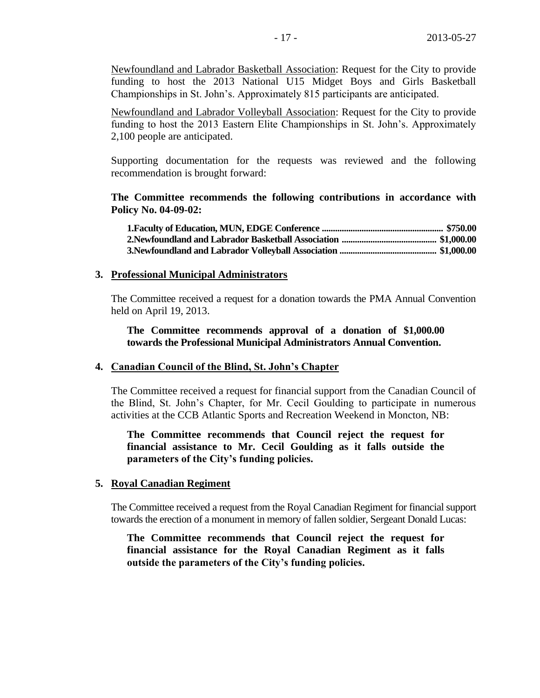Newfoundland and Labrador Basketball Association: Request for the City to provide funding to host the 2013 National U15 Midget Boys and Girls Basketball Championships in St. John's. Approximately 815 participants are anticipated.

Newfoundland and Labrador Volleyball Association: Request for the City to provide funding to host the 2013 Eastern Elite Championships in St. John's. Approximately 2,100 people are anticipated.

Supporting documentation for the requests was reviewed and the following recommendation is brought forward:

**The Committee recommends the following contributions in accordance with Policy No. 04-09-02:**

#### **3. Professional Municipal Administrators**

The Committee received a request for a donation towards the PMA Annual Convention held on April 19, 2013.

**The Committee recommends approval of a donation of \$1,000.00 towards the Professional Municipal Administrators Annual Convention.**

#### **4. Canadian Council of the Blind, St. John's Chapter**

The Committee received a request for financial support from the Canadian Council of the Blind, St. John's Chapter, for Mr. Cecil Goulding to participate in numerous activities at the CCB Atlantic Sports and Recreation Weekend in Moncton, NB:

**The Committee recommends that Council reject the request for financial assistance to Mr. Cecil Goulding as it falls outside the parameters of the City's funding policies.** 

#### **5. Royal Canadian Regiment**

The Committee received a request from the Royal Canadian Regiment for financial support towards the erection of a monument in memory of fallen soldier, Sergeant Donald Lucas:

**The Committee recommends that Council reject the request for financial assistance for the Royal Canadian Regiment as it falls outside the parameters of the City's funding policies.**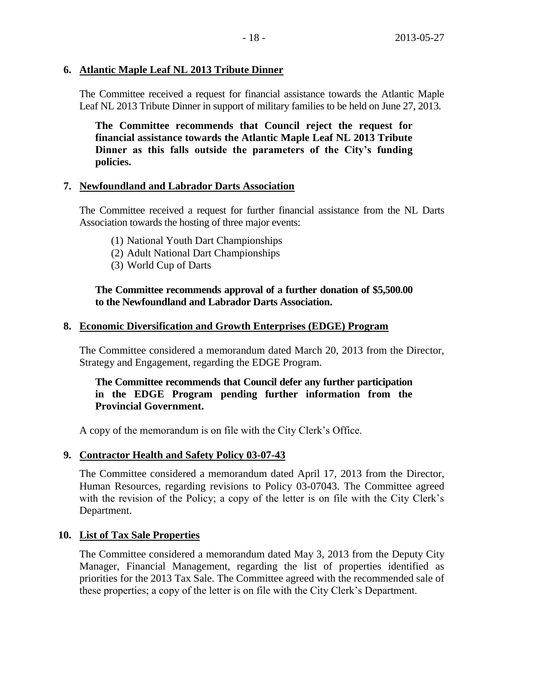### **6. Atlantic Maple Leaf NL 2013 Tribute Dinner**

The Committee received a request for financial assistance towards the Atlantic Maple Leaf NL 2013 Tribute Dinner in support of military families to be held on June 27, 2013.

**The Committee recommends that Council reject the request for financial assistance towards the Atlantic Maple Leaf NL 2013 Tribute Dinner as this falls outside the parameters of the City's funding policies.** 

### **7. Newfoundland and Labrador Darts Association**

The Committee received a request for further financial assistance from the NL Darts Association towards the hosting of three major events:

- (1) National Youth Dart Championships
- (2) Adult National Dart Championships
- (3) World Cup of Darts

### **The Committee recommends approval of a further donation of \$5,500.00 to the Newfoundland and Labrador Darts Association.**

### **8. Economic Diversification and Growth Enterprises (EDGE) Program**

The Committee considered a memorandum dated March 20, 2013 from the Director, Strategy and Engagement, regarding the EDGE Program.

### **The Committee recommends that Council defer any further participation in the EDGE Program pending further information from the Provincial Government.**

A copy of the memorandum is on file with the City Clerk's Office.

### **9. Contractor Health and Safety Policy 03-07-43**

The Committee considered a memorandum dated April 17, 2013 from the Director, Human Resources, regarding revisions to Policy 03-07043. The Committee agreed with the revision of the Policy; a copy of the letter is on file with the City Clerk's Department.

### **10. List of Tax Sale Properties**

The Committee considered a memorandum dated May 3, 2013 from the Deputy City Manager, Financial Management, regarding the list of properties identified as priorities for the 2013 Tax Sale. The Committee agreed with the recommended sale of these properties; a copy of the letter is on file with the City Clerk's Department.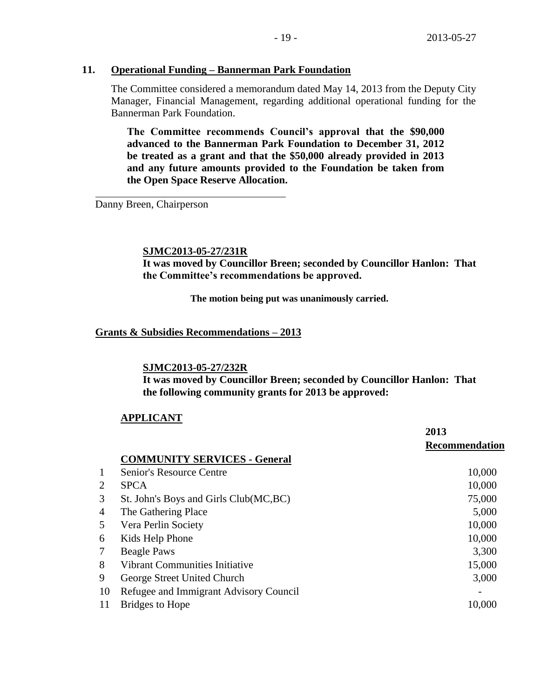### **11. Operational Funding – Bannerman Park Foundation**

The Committee considered a memorandum dated May 14, 2013 from the Deputy City Manager, Financial Management, regarding additional operational funding for the Bannerman Park Foundation.

**The Committee recommends Council's approval that the \$90,000 advanced to the Bannerman Park Foundation to December 31, 2012 be treated as a grant and that the \$50,000 already provided in 2013 and any future amounts provided to the Foundation be taken from the Open Space Reserve Allocation.**

Danny Breen, Chairperson

### **SJMC2013-05-27/231R**

**It was moved by Councillor Breen; seconded by Councillor Hanlon: That the Committee's recommendations be approved.**

**The motion being put was unanimously carried.**

### **Grants & Subsidies Recommendations – 2013**

#### **SJMC2013-05-27/232R**

**It was moved by Councillor Breen; seconded by Councillor Hanlon: That the following community grants for 2013 be approved:**

### **APPLICANT**

|                |                                        | 2013           |
|----------------|----------------------------------------|----------------|
|                |                                        | Recommendation |
|                | <b>COMMUNITY SERVICES - General</b>    |                |
| 1              | Senior's Resource Centre               | 10,000         |
| 2              | <b>SPCA</b>                            | 10,000         |
| 3              | St. John's Boys and Girls Club(MC,BC)  | 75,000         |
| $\overline{4}$ | The Gathering Place                    | 5,000          |
| 5              | Vera Perlin Society                    | 10,000         |
| 6              | Kids Help Phone                        | 10,000         |
| 7              | <b>Beagle Paws</b>                     | 3,300          |
| 8              | <b>Vibrant Communities Initiative</b>  | 15,000         |
| 9              | George Street United Church            | 3,000          |
| 10             | Refugee and Immigrant Advisory Council |                |
| 11             | Bridges to Hope                        | 10,000         |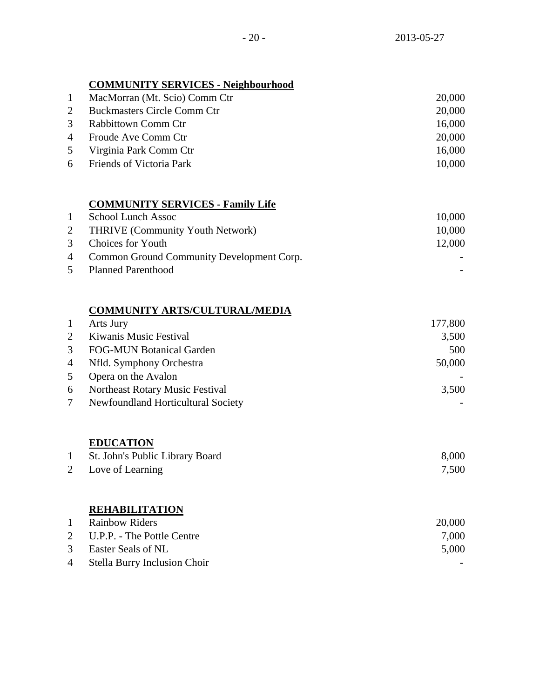# **COMMUNITY SERVICES - Neighbourhood**

| 1 | MacMorran (Mt. Scio) Comm Ctr      | 20,000 |
|---|------------------------------------|--------|
| 2 | <b>Buckmasters Circle Comm Ctr</b> | 20,000 |
|   | 3 Rabbittown Comm Ctr              | 16,000 |
|   | 4 Froude Ave Comm Ctr              | 20,000 |
|   | 5 Virginia Park Comm Ctr           | 16,000 |
|   | 6 Friends of Victoria Park         | 10,000 |

# **COMMUNITY SERVICES - Family Life**

| $\mathbf{1}$ | School Lunch Assoc                          | 10,000 |
|--------------|---------------------------------------------|--------|
|              | 2 THRIVE (Community Youth Network)          | 10,000 |
|              | 3 Choices for Youth                         | 12,000 |
|              | 4 Common Ground Community Development Corp. |        |
|              | 5 Planned Parenthood                        |        |

### **COMMUNITY ARTS/CULTURAL/MEDIA**

| $\mathbf{1}$   | Arts Jury                                 | 177,800 |
|----------------|-------------------------------------------|---------|
| $\mathbf{2}$   | Kiwanis Music Festival                    | 3,500   |
| 3 <sup>1</sup> | <b>FOG-MUN Botanical Garden</b>           | 500     |
|                | 4 Nfld. Symphony Orchestra                | 50,000  |
| 5 <sup>5</sup> | Opera on the Avalon                       |         |
| 6              | Northeast Rotary Music Festival           | 3,500   |
| $7\degree$     | <b>Newfoundland Horticultural Society</b> |         |

# **EDUCATION**

| St. John's Public Library Board | 8,000 |
|---------------------------------|-------|
| 2 Love of Learning              | 7,500 |

### **REHABILITATION**

| $\mathbf{1}$ | <b>Rainbow Riders</b>          | 20,000 |
|--------------|--------------------------------|--------|
|              | 2 U.P.P. - The Pottle Centre   | 7,000  |
|              | 3 Easter Seals of NL           | 5,000  |
|              | 4 Stella Burry Inclusion Choir |        |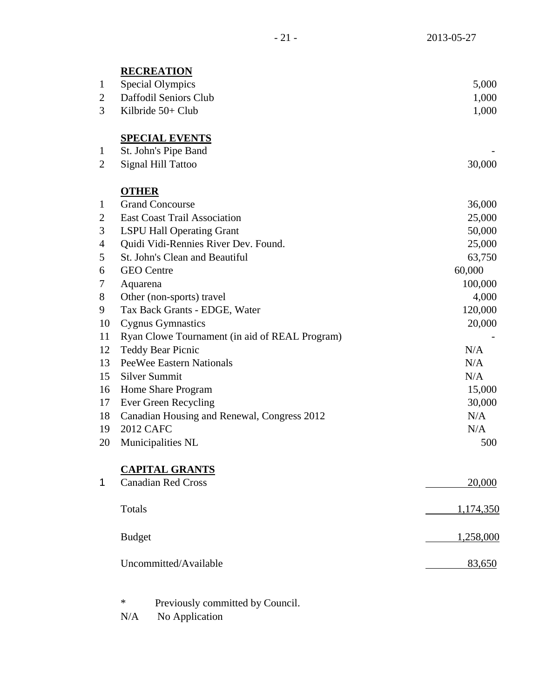|                | <b>RECREATION</b>                              |           |
|----------------|------------------------------------------------|-----------|
| $\mathbf{1}$   | <b>Special Olympics</b>                        | 5,000     |
| $\overline{c}$ | Daffodil Seniors Club                          | 1,000     |
| 3              | Kilbride 50+ Club                              | 1,000     |
|                | <b>SPECIAL EVENTS</b>                          |           |
| $\mathbf{1}$   | St. John's Pipe Band                           |           |
| $\overline{c}$ | <b>Signal Hill Tattoo</b>                      | 30,000    |
|                | <b>OTHER</b>                                   |           |
| $\mathbf{1}$   | <b>Grand Concourse</b>                         | 36,000    |
| $\overline{c}$ | <b>East Coast Trail Association</b>            | 25,000    |
| 3              | <b>LSPU Hall Operating Grant</b>               | 50,000    |
| 4              | Quidi Vidi-Rennies River Dev. Found.           | 25,000    |
| 5              | St. John's Clean and Beautiful                 | 63,750    |
| 6              | <b>GEO</b> Centre                              | 60,000    |
| 7              | Aquarena                                       | 100,000   |
| 8              | Other (non-sports) travel                      | 4,000     |
| 9              | Tax Back Grants - EDGE, Water                  | 120,000   |
| 10             | <b>Cygnus Gymnastics</b>                       | 20,000    |
| 11             | Ryan Clowe Tournament (in aid of REAL Program) |           |
| 12             | <b>Teddy Bear Picnic</b>                       | N/A       |
| 13             | <b>PeeWee Eastern Nationals</b>                | N/A       |
| 15             | <b>Silver Summit</b>                           | N/A       |
| 16             | Home Share Program                             | 15,000    |
| 17             | Ever Green Recycling                           | 30,000    |
| 18             | Canadian Housing and Renewal, Congress 2012    | N/A       |
| 19             | <b>2012 CAFC</b>                               | N/A       |
| 20             | Municipalities NL                              | 500       |
|                | <b>CAPITAL GRANTS</b>                          |           |
| 1              | <b>Canadian Red Cross</b>                      | 20,000    |
|                | Totals                                         | 1,174,350 |
|                | <b>Budget</b>                                  | 1,258,000 |
|                | Uncommitted/Available                          | 83,650    |
|                |                                                |           |

\* Previously committed by Council.

N/A No Application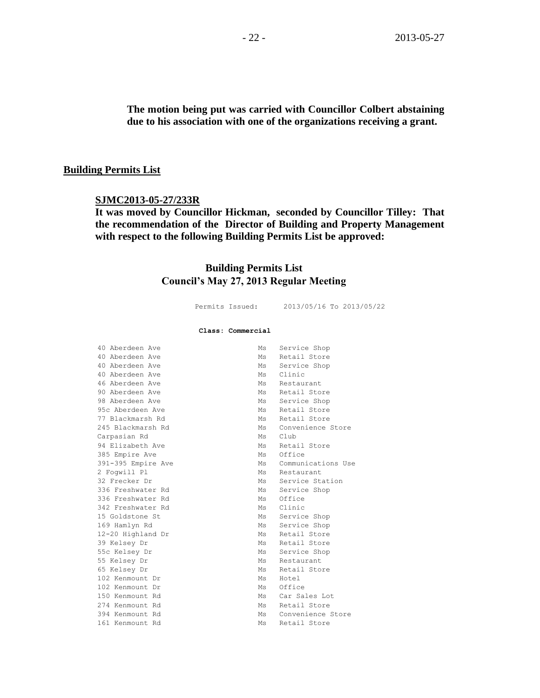**The motion being put was carried with Councillor Colbert abstaining due to his association with one of the organizations receiving a grant.**

#### **Building Permits List**

#### **SJMC2013-05-27/233R**

**It was moved by Councillor Hickman, seconded by Councillor Tilley: That the recommendation of the Director of Building and Property Management with respect to the following Building Permits List be approved:** 

### **Building Permits List Council's May 27, 2013 Regular Meeting**

|                    | Permits Issued:   | 2013/05/16 To 2013/05/22 |
|--------------------|-------------------|--------------------------|
|                    | Class: Commercial |                          |
| 40 Aberdeen Ave    | Ms                | Service Shop             |
| 40 Aberdeen Ave    | Ms                | Retail Store             |
| 40 Aberdeen Ave    | Ms                | Service Shop             |
| 40 Aberdeen Ave    | Ms                | Clinic                   |
| 46 Aberdeen Ave    | Ms                | Restaurant               |
| 90 Aberdeen Ave    | Ms                | Retail Store             |
| 98 Aberdeen Ave    | Ms                | Service Shop             |
| 95c Aberdeen Ave   | Ms                | Retail Store             |
| 77 Blackmarsh Rd   | Ms                | Retail Store             |
| 245 Blackmarsh Rd  | Ms                | Convenience Store        |
| Carpasian Rd       | Ms                | C1ub                     |
| 94 Elizabeth Ave   | Ms                | Retail Store             |
| 385 Empire Ave     | Ms                | Office                   |
| 391-395 Empire Ave | Ms                | Communications Use       |
| 2 Foqwill Pl       | Ms                | Restaurant               |
| 32 Frecker Dr      | Ms                | Service Station          |
| 336 Freshwater Rd  | Ms                | Service Shop             |
| 336 Freshwater Rd  | Ms                | Office                   |
| 342 Freshwater Rd  | Ms                | Clinic                   |
| 15 Goldstone St    | Ms                | Service Shop             |
| 169 Hamlyn Rd      | Ms                | Service Shop             |
| 12-20 Highland Dr  | Ms                | Retail Store             |
| 39 Kelsey Dr       | Ms                | Retail Store             |
| 55c Kelsey Dr      | $M_{\rm S}$       | Service Shop             |
| 55 Kelsey Dr       | Ms                | Restaurant               |
| 65 Kelsey Dr       | Ms                | Retail Store             |
| 102 Kenmount Dr    | Ms                | Hotel                    |
| 102 Kenmount Dr    | Ms                | Office                   |
| 150 Kenmount Rd    | Ms                | Car Sales Lot            |
| 274 Kenmount Rd    | Ms                | Retail Store             |
| 394 Kenmount Rd    | Ms                | Convenience Store        |
| 161 Kenmount Rd    | Ms                | Retail Store             |
|                    |                   |                          |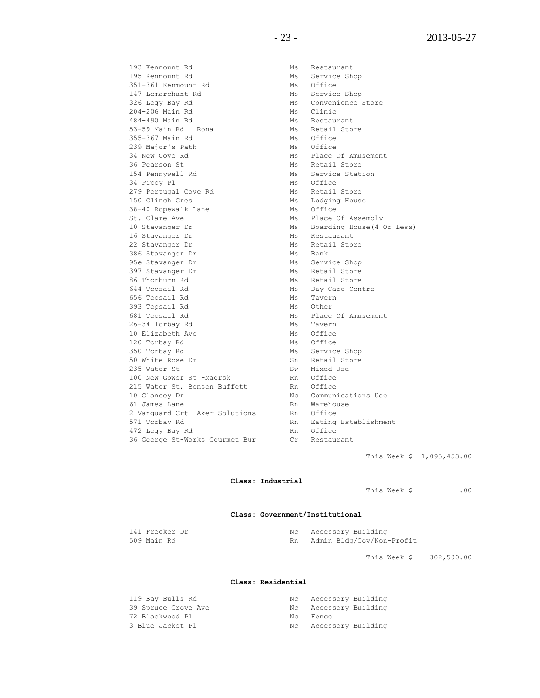193 Kenmount Rd Ms Ms Restaurant 195 Kenmount Rd Ms Service Shop<br>351-361 Kenmount Rd Ms Office 351-361 Kenmount Rd 147 Lemarchant Rd Ms Service Shop 326 Logy Bay Rd Ms Convenience Store 204-206 Main Rd Ms Clinic 484-490 Main Rd<br>53-59 Main Rd Rona Ms Retail Store 53-59 Main Rd Rona 355-367 Main Rd Ms Office 239 Major's Path Ms Office 34 New Cove Rd Ms Place Of Amusement 36 Pearson St Ms Retail Store 154 Pennywell Rd Ms Service Station 34 Pippy Pl<br>
279 Portugal Cove Rd<br>
350 Clinch Cres<br>
38-40 Ropewalk Lane<br>
38-40 Ropewalk Lane<br>
38-40 Ropewalk Lane<br>
2011 279 Portugal Cove Rd 150 Clinch Cres 38-40 Ropewalk Lane St. Clare Ave Ms Place Of Assembly 10 Stavanger Dr Ms Boarding House(4 Or Less) 16 Stavanger Dr Ms Restaurant 22 Stavanger Dr Ms Retail Store 386 Stavanger Dr Ms Bank 95e Stavanger Dr Ms Service Shop 397 Stavanger Dr Ms Retail Store<br>86 Thorburn Rd Ms Retail Store 644 Topsail Rd Ms Day Care Centre 656 Topsail Rd<br>393 Topsail Rd<br>Ms Other 393 Topsail Rd 681 Topsail Rd<br>26-34 Torbay Rd<br>Ms Tavern 26-34 Torbay Rd 10 Elizabeth Ave Ms Office 120 Torbay Rd Ms Office 350 Torbay Rd Ms Service Shop 50 White Rose Dr Sn Retail Store 235 Water St<br>
235 Water St -Maersk<br>
235 Water St -Maersk<br>
236 Nn Office 100 New Gower St -Maersk 215 Water St, Benson Buffett Rn Office 10 Clancey Dr Nc Communications Use 61 James Lane Rn Warehouse 2 Vanguard Crt Aker Solutions Rn Office 571 Torbay Rd **Rn** Eating Establishment 472 Logy Bay Rd Rn Office 36 George St-Works Gourmet Bur Cr Restaurant

Ms Retail Store

This Week \$ 1,095,453.00

#### **Class: Industrial**

This Week \$ .00

#### **Class: Government/Institutional**

| 141 Frecker Dr | Nc Accessory Building     |
|----------------|---------------------------|
| 509 Main Rd    | Admin Bldg/Gov/Non-Profit |

This Week \$ 302,500.00

#### **Class: Residential**

| 119 Bay Bulls Rd    | Nc  | Accessory Building |  |
|---------------------|-----|--------------------|--|
| 39 Spruce Grove Ave | Nc  | Accessory Building |  |
| 72 Blackwood Pl     | Nc. | Fence              |  |
| 3 Blue Jacket Pl    | Nc  | Accessory Building |  |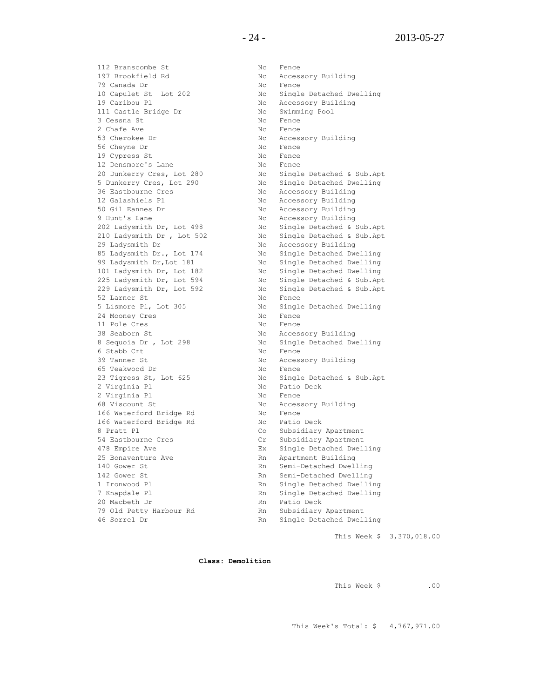112 Branscombe St Nc Fence 197 Brookfield Rd No Nc Accessory Building 79 Canada Dr No Rence 10 Capulet St Lot 202 Nc Single Detached Dwelling 19 Caribou Pl **No. 19 Caribou Pl Nc Accessory Building** 111 Castle Bridge Dr Nc Swimming Pool 3 Cessna St 1997 1997 1998 1999 No. 1 No. 1 Fence 2 Chafe Ave Nc Fence 53 Cherokee Dr Nc Accessory Building 56 Cheyne Dr Nc Fence 19 Cypress St Nc Fence 12 Densmore's Lane No Rence 20 Dunkerry Cres, Lot 280 Nc Single Detached & Sub.Apt 5 Dunkerry Cres, Lot 290 Nc Single Detached Dwelling 36 Eastbourne Cres No. 1 No. 1 Accessory Building 12 Galashiels Pl Nc Accessory Building 50 Gil Eannes Dr Nc Accessory Building 9 Hunt's Lane No. 2012 Mc Accessory Building 202 Ladysmith Dr, Lot 498 Nc Single Detached & Sub.Apt 210 Ladysmith Dr , Lot 502 Nc Single Detached & Sub.Apt 29 Ladysmith Dr Nc Accessory Building 85 Ladysmith Dr., Lot 174 Nc Single Detached Dwelling 99 Ladysmith Dr, Lot 181 Nc Single Detached Dwelling 101 Ladysmith Dr, Lot 182 Nc Single Detached Dwelling 225 Ladysmith Dr, Lot 594 Nc Single Detached & Sub.Apt 229 Ladysmith Dr, Lot 592 Nc Single Detached & Sub.Apt 52 Larner St Nc Fence 5 Lismore Pl, Lot 305 Nc Single Detached Dwelling 52 Larner St<br>
5 Lismore Pl, Lot 305 Nc Single<br>
24 Mooney Cres Nc Fence<br>
11 Pole Cres Nc Fence 11 Pole Cres Nc Rence 38 Seaborn St 188 and 188 No Accessory Building 8 Sequoia Dr, Lot 298 Nc Single Detached Dwelling 6 Stabb Crt Nc Fence 39 Tanner St Nc Accessory Building 65 Teakwood Dr Nc Fence 23 Tigress St, Lot 625 Nc Single Detached & Sub.Apt 2 Virginia Pl Nc Patio Deck 2 Virginia Pl Nc Fence 68 Viscount St Nc Accessory Building 166 Waterford Bridge Rd Nc Fence 166 Waterford Bridge Rd Nc Patio Deck 8 Pratt Pl Co Subsidiary Apartment 54 Eastbourne Cres Cr Subsidiary Apartment 478 Empire Ave Ex Single Detached Dwelling 25 Bonaventure Ave and the Rn Apartment Building<br>140 Gower St 140 Gover St 140 Rn Apartment Building 142 Gower St Rn Semi-Detached Dwelling<br>1 Ironwood Pl Rn Single Detached Dwelling<br>7 Knapdale Pl Rn Single Detached Dwelling 1 Ironwood Pl Rn Single Detached Dwelling 7 Knapdale Pl **Rn** Single Detached Dwelling 20 Macbeth Dr **Rn** Patio Deck 79 Old Petty Harbour Rd Rn Subsidiary Apartment

Rn Semi-Detached Dwelling 46 Sorrel Dr Rn Single Detached Dwelling

This Week \$ 3,370,018.00

**Class: Demolition**

This Week \$ .00

This Week's Total: \$ 4,767,971.00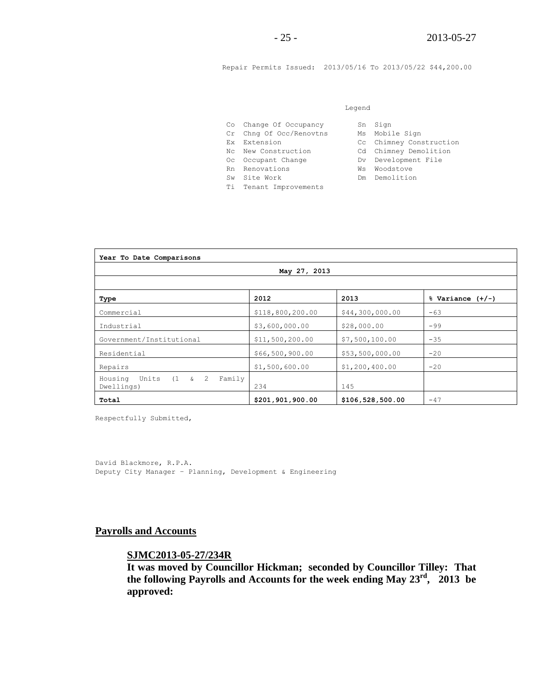Repair Permits Issued: 2013/05/16 To 2013/05/22 \$44,200.00

#### Legend

| Co Change Of Occupancy  | Sn Sign        |
|-------------------------|----------------|
| Cr Chng Of Occ/Renovtns | Ms Mobile Sign |
| Ex Extension            | Cc Chimney Con |

- Nc New Construction
- 
- Rn Renovations **William Warehouse** Wis Woodstove
	-
- Ti Tenant Improvements

| Co Change Of Occupancy  | Sn Sign                 |
|-------------------------|-------------------------|
| Cr Chng Of Occ/Renovtns | Ms Mobile Sign          |
| Ex Extension            | Cc Chimney Construction |
| Nc New Construction     | Cd Chimney Demolition   |
| Oc Occupant Change      | Dv Development File     |

- 
- Sw Site Work **Demolition**

| May 27, 2013                                                       |                  |                  |                      |  |
|--------------------------------------------------------------------|------------------|------------------|----------------------|--|
| Type                                                               | 2012             | 2013             | $%$ Variance $(+/-)$ |  |
| Commercial                                                         | \$118,800,200.00 | \$44,300,000.00  | $-63$                |  |
| Industrial                                                         | \$3,600,000.00   | \$28,000.00      | $-99$                |  |
| Government/Institutional                                           | \$11,500,200.00  | \$7,500,100.00   | $-35$                |  |
| Residential                                                        | \$66,500,900.00  | \$53,500,000.00  | $-20$                |  |
| Repairs                                                            | \$1,500,600.00   | \$1,200,400.00   | $-20$                |  |
| Units<br>$(1 \quad \& \quad 2)$<br>Family<br>Housing<br>Dwellings) | 234              | 145              |                      |  |
| Total                                                              | \$201,901,900.00 | \$106,528,500.00 | $-47$                |  |

Respectfully Submitted,

David Blackmore, R.P.A. Deputy City Manager – Planning, Development & Engineering

#### **Payrolls and Accounts**

**SJMC2013-05-27/234R**

**It was moved by Councillor Hickman; seconded by Councillor Tilley: That the following Payrolls and Accounts for the week ending May 23rd , 2013 be approved:**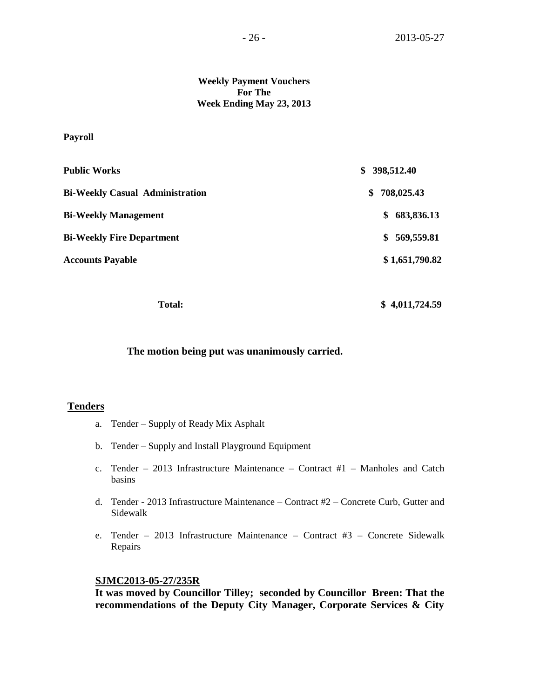#### **Weekly Payment Vouchers For The Week Ending May 23, 2013**

#### **Payroll**

| <b>Public Works</b>                    | 398,512.40<br>S. |  |
|----------------------------------------|------------------|--|
| <b>Bi-Weekly Casual Administration</b> | 708,025.43<br>\$ |  |
| <b>Bi-Weekly Management</b>            | 683,836.13<br>\$ |  |
| <b>Bi-Weekly Fire Department</b>       | \$569,559.81     |  |
| <b>Accounts Payable</b>                | \$1,651,790.82   |  |
|                                        |                  |  |

Total: \$ 4,011,724.59

#### **The motion being put was unanimously carried.**

#### **Tenders**

- a. Tender Supply of Ready Mix Asphalt
- b. Tender Supply and Install Playground Equipment
- c. Tender 2013 Infrastructure Maintenance Contract #1 Manholes and Catch basins
- d. Tender 2013 Infrastructure Maintenance Contract #2 Concrete Curb, Gutter and Sidewalk
- e. Tender 2013 Infrastructure Maintenance Contract #3 Concrete Sidewalk Repairs

#### **SJMC2013-05-27/235R**

**It was moved by Councillor Tilley; seconded by Councillor Breen: That the recommendations of the Deputy City Manager, Corporate Services & City**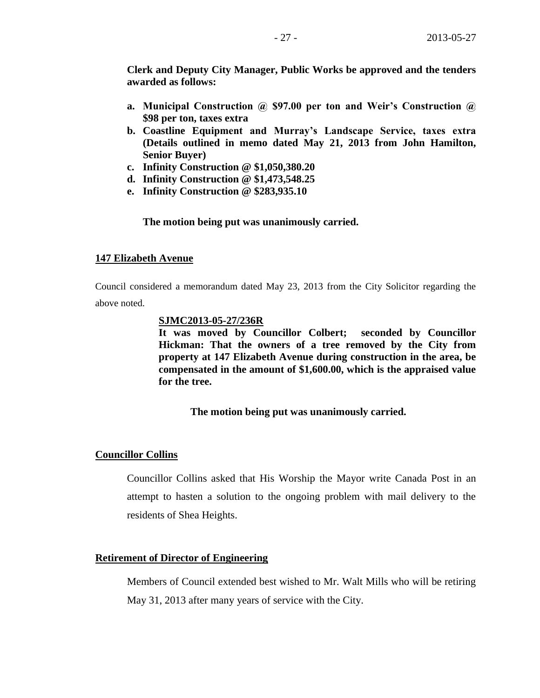**Clerk and Deputy City Manager, Public Works be approved and the tenders awarded as follows:**

- **a. Municipal Construction @ \$97.00 per ton and Weir's Construction @ \$98 per ton, taxes extra**
- **b. Coastline Equipment and Murray's Landscape Service, taxes extra (Details outlined in memo dated May 21, 2013 from John Hamilton, Senior Buyer)**
- **c. Infinity Construction @ \$1,050,380.20**
- **d. Infinity Construction @ \$1,473,548.25**
- **e. Infinity Construction @ \$283,935.10**

**The motion being put was unanimously carried.**

#### **147 Elizabeth Avenue**

Council considered a memorandum dated May 23, 2013 from the City Solicitor regarding the above noted.

#### **SJMC2013-05-27/236R**

**It was moved by Councillor Colbert; seconded by Councillor Hickman: That the owners of a tree removed by the City from property at 147 Elizabeth Avenue during construction in the area, be compensated in the amount of \$1,600.00, which is the appraised value for the tree.**

#### **The motion being put was unanimously carried.**

#### **Councillor Collins**

Councillor Collins asked that His Worship the Mayor write Canada Post in an attempt to hasten a solution to the ongoing problem with mail delivery to the residents of Shea Heights.

#### **Retirement of Director of Engineering**

Members of Council extended best wished to Mr. Walt Mills who will be retiring May 31, 2013 after many years of service with the City.